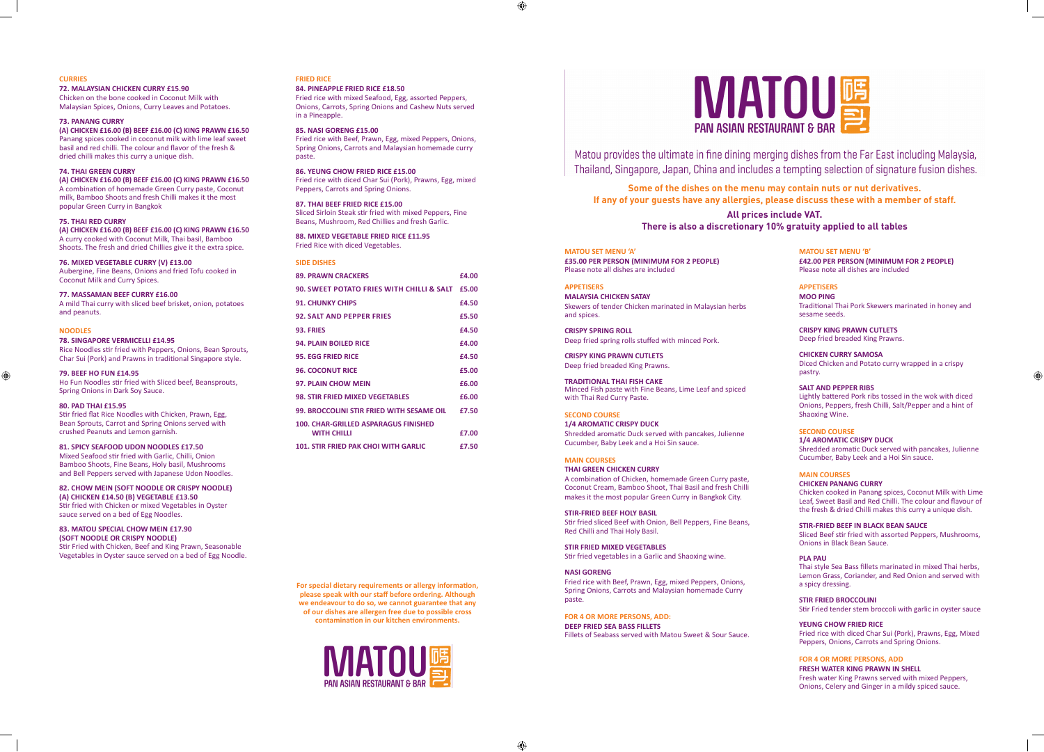## **MATOU SET MENU 'A'**

**£35.00 PER PERSON (MINIMUM FOR 2 PEOPLE)** Please note all dishes are included

**CRISPY SPRING ROLL** Deep fried spring rolls stuffed with minced Por

## **APPETISERS**

**MALAYSIA CHICKEN SATAY** Skewers of tender Chicken marinated in Malays and spices.

**1/4 AROMATIC CRISPY DUCK** Shredded aromatic Duck served with pancakes

**CRISPY KING PRAWN CUTLETS** Deep fried breaded King Prawns.

**TRADITIONAL THAI FISH CAKE** Minced Fish paste with Fine Beans, Lime Leaf a with Thai Red Curry Paste.

## **SECOND COURSE**

Stir fried sliced Beef with Onion, Bell Peppers, Red Chilli and Thai Holy Basil.

Cucumber, Baby Leek and a Hoi Sin sauce.

Fried rice with Beef, Prawn, Egg, mixed Peppers Spring Onions, Carrots and Malaysian homema paste.

**FOR 4 OR MORE PERSONS, ADD: DEEP FRIED SEA BASS FILLETS** Fillets of Seabass served with Matou Sweet & S



Matou provides the ultimate in fine dining merging dishes from the Far East including Malaysia. Thailand, Singapore, Japan, China and includes a tempting selection of signature fusion dishes.

# **MAIN COURSES**

# **THAI GREEN CHICKEN CURRY**

A combination of Chicken, homemade Green C Coconut Cream, Bamboo Shoot, Thai Basil and makes it the most popular Green Curry in Bang

## **STIR-FRIED BEEF HOLY BASIL**

# **STIR FRIED MIXED VEGETABLES**

Stir fried vegetables in a Garlic and Shaoxing wi

# **NASI GORENG**

# **Some of the dishes on the menu may contain nuts or nut derivatives. If any of your guests have any allergies, please discuss these with a member of staff.**

# **All prices include VAT. There is also a discretionary 10% gratuity applied to all tables**

| E)                                       | <b>MATOU SET MENU 'B'</b><br>£42.00 PER PERSON (MINIMUM FOR 2 PEOPLE)<br>Please note all dishes are included                                                                                                                             |
|------------------------------------------|------------------------------------------------------------------------------------------------------------------------------------------------------------------------------------------------------------------------------------------|
| sian herbs                               | <b>APPETISERS</b><br><b>MOO PING</b><br>Traditional Thai Pork Skewers marinated in honey and<br>sesame seeds.                                                                                                                            |
| k.                                       | <b>CRISPY KING PRAWN CUTLETS</b><br>Deep fried breaded King Prawns.                                                                                                                                                                      |
|                                          | <b>CHICKEN CURRY SAMOSA</b><br>Diced Chicken and Potato curry wrapped in a crispy<br>pastry.                                                                                                                                             |
| and spiced                               | <b>SALT AND PEPPER RIBS</b><br>Lightly battered Pork ribs tossed in the wok with diced<br>Onions, Peppers, fresh Chilli, Salt/Pepper and a hint of<br>Shaoxing Wine.                                                                     |
| , Julienne                               | <b>SECOND COURSE</b><br><b>1/4 AROMATIC CRISPY DUCK</b><br>Shredded aromatic Duck served with pancakes, Julienne<br>Cucumber, Baby Leek and a Hoi Sin sauce.                                                                             |
| urry paste,<br>fresh Chilli<br>kok City. | <b>MAIN COURSES</b><br><b>CHICKEN PANANG CURRY</b><br>Chicken cooked in Panang spices, Coconut Milk with Lime<br>Leaf, Sweet Basil and Red Chilli. The colour and flavour of<br>the fresh & dried Chilli makes this curry a unique dish. |
| Fine Beans,                              | <b>STIR-FRIED BEEF IN BLACK BEAN SAUCE</b><br>Sliced Beef stir fried with assorted Peppers, Mushrooms,<br><b>Onions in Black Bean Sauce.</b>                                                                                             |
| ine.<br>s, Onions,<br>de Curry           | <b>PLA PAU</b><br>Thai style Sea Bass fillets marinated in mixed Thai herbs,<br>Lemon Grass, Coriander, and Red Onion and served with<br>a spicy dressing.                                                                               |
|                                          | <b>STIR FRIED BROCCOLINI</b><br>Stir Fried tender stem broccoli with garlic in oyster sauce                                                                                                                                              |
| Sour Sauce.                              | <b>YEUNG CHOW FRIED RICE</b><br>Fried rice with diced Char Sui (Pork), Prawns, Egg, Mixed<br>Peppers, Onions, Carrots and Spring Onions.                                                                                                 |
|                                          | <b>FOR 4 OR MORE PERSONS, ADD</b><br><b>FRESH WATER KING PRAWN IN SHELL</b><br>Fresh water King Prawns served with mixed Peppers,<br>Onions, Celery and Ginger in a mildy spiced sauce.                                                  |

◈

# **CURRIES**

# **72. MALAYSIAN CHICKEN CURRY £15.90**

Chicken on the bone cooked in Coconut Milk with Malaysian Spices, Onions, Curry Leaves and Potatoes.

# **73. PANANG CURRY**

**(A) CHICKEN £16.00 (B) BEEF £16.00 (C) KING PRAWN £16.50** Panang spices cooked in coconut milk with lime leaf sweet basil and red chilli. The colour and flavor of the fresh & dried chilli makes this curry a unique dish.

## **74. THAI GREEN CURRY**

**(A) CHICKEN £16.00 (B) BEEF £16.00 (C) KING PRAWN £16.50** A combination of homemade Green Curry paste, Coconut milk, Bamboo Shoots and fresh Chilli makes it the most popular Green Curry in Bangkok

## **75. THAI RED CURRY**

**(A) CHICKEN £16.00 (B) BEEF £16.00 (C) KING PRAWN £16.50** A curry cooked with Coconut Milk, Thai basil, Bamboo Shoots. The fresh and dried Chillies give it the extra spice.

## **76. MIXED VEGETABLE CURRY (V) £13.00**

Aubergine, Fine Beans, Onions and fried Tofu cooked in Coconut Milk and Curry Spices.

## **77. MASSAMAN BEEF CURRY £16.00**

A mild Thai curry with sliced beef brisket, onion, potatoes and peanuts.

#### **NOODLES**

 $\bigoplus$ 

#### **78. SINGAPORE VERMICELLI £14.95**

Rice Noodles stir fried with Peppers, Onions, Bean Sprouts, Char Sui (Pork) and Prawns in traditional Singapore style.

## **79. BEEF HO FUN £14.95**

Ho Fun Noodles stir fried with Sliced beef, Beansprouts, Spring Onions in Dark Soy Sauce.

## **80. PAD THAI £15.95**

Stir fried flat Rice Noodles with Chicken, Prawn, Egg, Bean Sprouts, Carrot and Spring Onions served with crushed Peanuts and Lemon garnish.

# **81. SPICY SEAFOOD UDON NOODLES £17.50**

Mixed Seafood stir fried with Garlic, Chilli, Onion Bamboo Shoots, Fine Beans, Holy basil, Mushrooms and Bell Peppers served with Japanese Udon Noodles.

# **82. CHOW MEIN (SOFT NOODLE OR CRISPY NOODLE)**

**(A) CHICKEN £14.50 (B) VEGETABLE £13.50** Stir fried with Chicken or mixed Vegetables in Oyster sauce served on a bed of Egg Noodles.

## **83. MATOU SPECIAL CHOW MEIN £17.90 (SOFT NOODLE OR CRISPY NOODLE)**

Stir Fried with Chicken, Beef and King Prawn, Seasonable Vegetables in Oyster sauce served on a bed of Egg Noodle.

# **FRIED RICE**

#### **84. PINEAPPLE FRIED RICE £18.50**

Fried rice with mixed Seafood, Egg, assorted Peppers, Onions, Carrots, Spring Onions and Cashew Nuts served in a Pineapple.

# **85. NASI GORENG £15.00**

Fried rice with Beef, Prawn, Egg, mixed Peppers, Onions, Spring Onions, Carrots and Malaysian homemade curry paste.

## **86. YEUNG CHOW FRIED RICE £15.00** Fried rice with diced Char Sui (Pork), Prawns, Egg, mixed Peppers, Carrots and Spring Onions.

**87. THAI BEEF FRIED RICE £15.00** Sliced Sirloin Steak stir fried with mixed Peppers, Fine Beans, Mushroom, Red Chillies and fresh Garlic.

**88. MIXED VEGETABLE FRIED RICE £11.95** Fried Rice with diced Vegetables.

## **SIDE DISHES**

| <b>89. PRAWN CRACKERS</b>                            | £4.00 |
|------------------------------------------------------|-------|
| <b>90. SWEET POTATO FRIES WITH CHILLI &amp; SALT</b> | £5.00 |
| <b>91. CHUNKY CHIPS</b>                              | £4.50 |
| <b>92. SALT AND PEPPER FRIES</b>                     | £5.50 |
| 93. FRIES                                            | £4.50 |
| <b>94. PLAIN BOILED RICE</b>                         | £4.00 |
| <b>95. EGG FRIED RICE</b>                            | £4.50 |
| <b>96. COCONUT RICE</b>                              | £5.00 |
| <b>97. PLAIN CHOW MEIN</b>                           | £6.00 |
| <b>98. STIR FRIED MIXED VEGETABLES</b>               | £6.00 |
| 99. BROCCOLINI STIR FRIED WITH SESAME OIL            | £7.50 |
| <b>100. CHAR-GRILLED ASPARAGUS FINISHED</b>          |       |
| <b>WITH CHILLI</b>                                   | £7.00 |
| <b>101. STIR FRIED PAK CHOI WITH GARLIC</b>          | £7.50 |

**For special dietary requirements or allergy information, please speak with our staff before ordering. Although we endeavour to do so, we cannot guarantee that any of our dishes are allergen free due to possible cross contamination in our kitchen environments.**